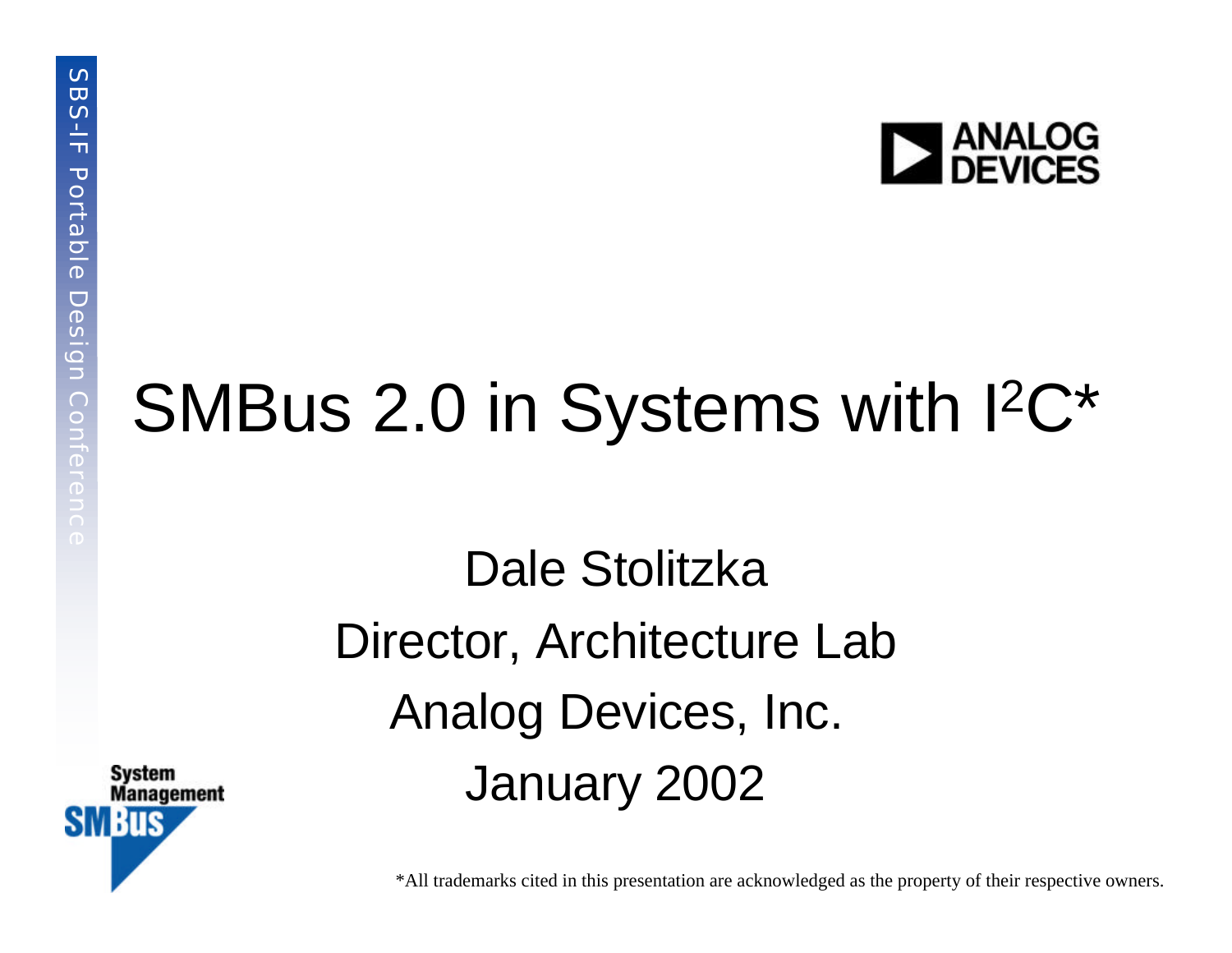

## SMBus 2.0 in Systems with I<sup>2</sup>C\*

Dale Stolitzka Director, Architecture Lab Analog Devices, Inc. January 2002



\*All trademarks cited in this presentation are acknowledged as the property of their respective owners.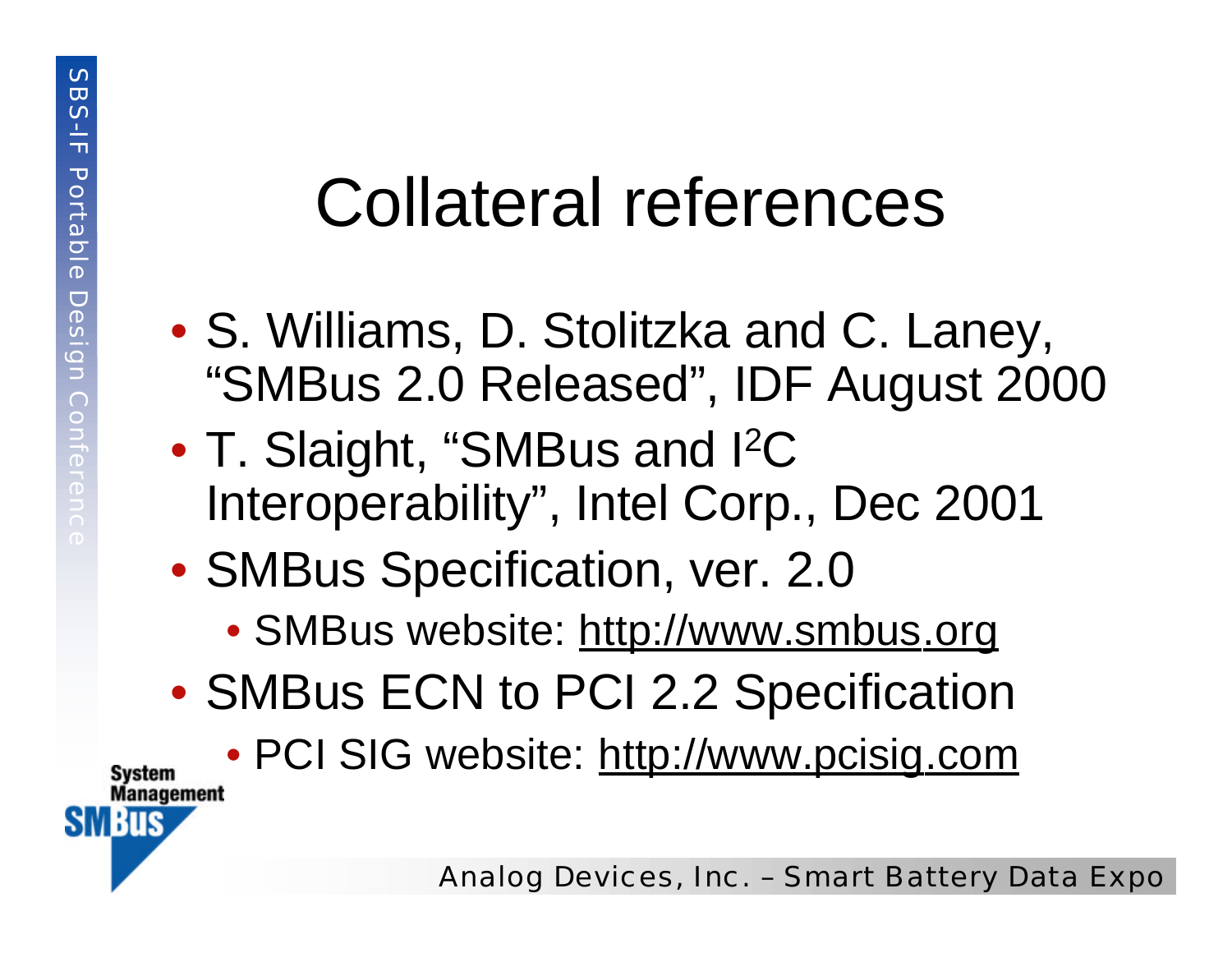#### Collateral references

- S. Williams, D. Stolitzka and C. Laney, "SMBus 2.0 Released", IDF August 2000
- T. Slaight, "SMBus and I<sup>2</sup>C Interoperability", Intel Corp., Dec 2001
- SMBus Specification, ver. 2.0
	- SMBus website: http://www.smbus.org
- SMBus ECN to PCI 2.2 Specification

• PCI SIG website: http://www.pcisig.com



Svstem **Management** 

**SMBus**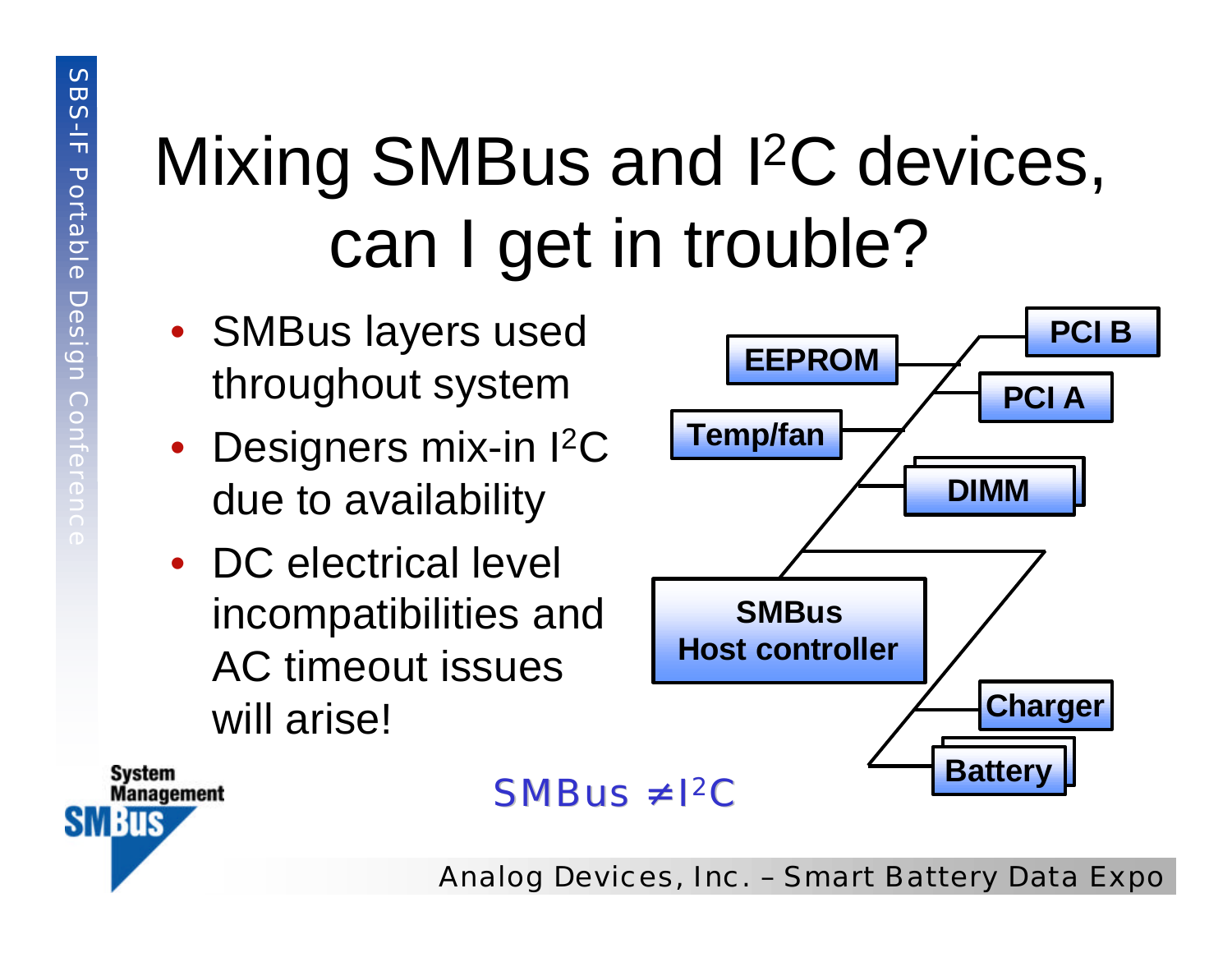## Mixing SMBus and I<sup>2</sup>C devices, can I get in trouble?

- SMBus layers used throughout system
- Designers mix-in I<sup>2</sup>C due to availability
- DC electrical level incompatibilities and AC timeout issues will arise!





 $SMBus \neq l^2C$ 

Analog Devices, Inc. – Smart Battery Data Expo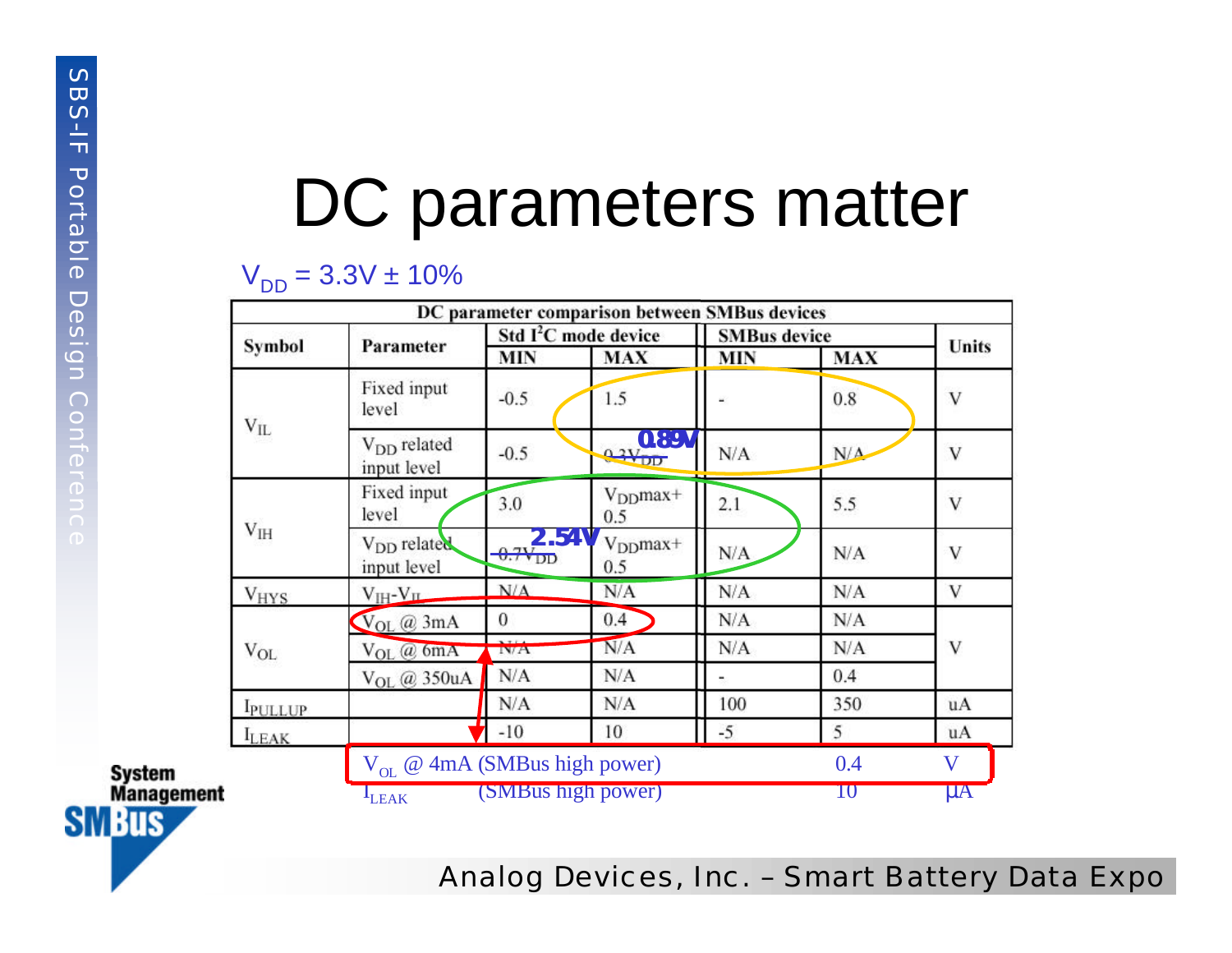#### DC parameters matter

#### $V_{DD} = 3.3V \pm 10\%$

|                                                                  |                        | DC parameter comparison between SMBus devices |                                  |                      |                     |            |         |
|------------------------------------------------------------------|------------------------|-----------------------------------------------|----------------------------------|----------------------|---------------------|------------|---------|
|                                                                  |                        | Parameter                                     | Std I <sup>2</sup> C mode device |                      | <b>SMBus</b> device |            | Units   |
|                                                                  | Symbol                 |                                               | <b>MIN</b>                       | <b>MAX</b>           | <b>MIN</b>          | <b>MAX</b> |         |
|                                                                  | $V_{IL}$               | Fixed input<br>level                          | $-0.5$                           | 1.5                  |                     | 0.8        | V       |
|                                                                  |                        | V <sub>DD</sub> related<br>input level        | $-0.5$                           | 0.89V<br>$0.3V_{DD}$ | N/A                 | N/A        | V       |
|                                                                  |                        | Fixed input<br>level                          | 3.0                              | $VDDmax+$<br>0.5     | 2.1                 | 5.5        | V       |
|                                                                  | $V_{IH}$               | V <sub>DD</sub> related<br>input level        | $2.54V$ <sub>0.7</sub>           | $VDDmax+$<br>0.5     | N/A                 | N/A        | V       |
|                                                                  | <b>V<sub>HYS</sub></b> | $V_{IH} - V_{II}$                             | N/A                              | N/A                  | N/A                 | N/A        | V       |
|                                                                  | $V_{OL}$               | $V_{OL}$ $@3mA$                               | $\bf{0}$                         | 0.4                  | N/A                 | N/A        | V       |
|                                                                  |                        | $V_{OL}$ $@$ 6mA                              | 3.7.14<br>IN/A                   | N/A                  | N/A                 | N/A        |         |
|                                                                  |                        | V <sub>OL</sub> @ 350uA                       | N/A                              | N/A                  | ٠                   | 0.4        |         |
|                                                                  | <b>IPULLUP</b>         |                                               | N/A                              | N/A                  | 100                 | 350        | uA      |
|                                                                  | $I_{LEAK}$             |                                               | $-10$                            | 10                   | $-5$                | 5          | uA      |
| <b>System</b>                                                    |                        | $V_{OL}$ @ 4mA (SMBus high power)             |                                  |                      |                     | 0.4        | V       |
| <b>Management</b><br><b>The Second Contract of Second Street</b> |                        | L <sub>EAK</sub>                              | (SMBus high power)               |                      |                     | $10\,$     | $\mu A$ |



**SMBus**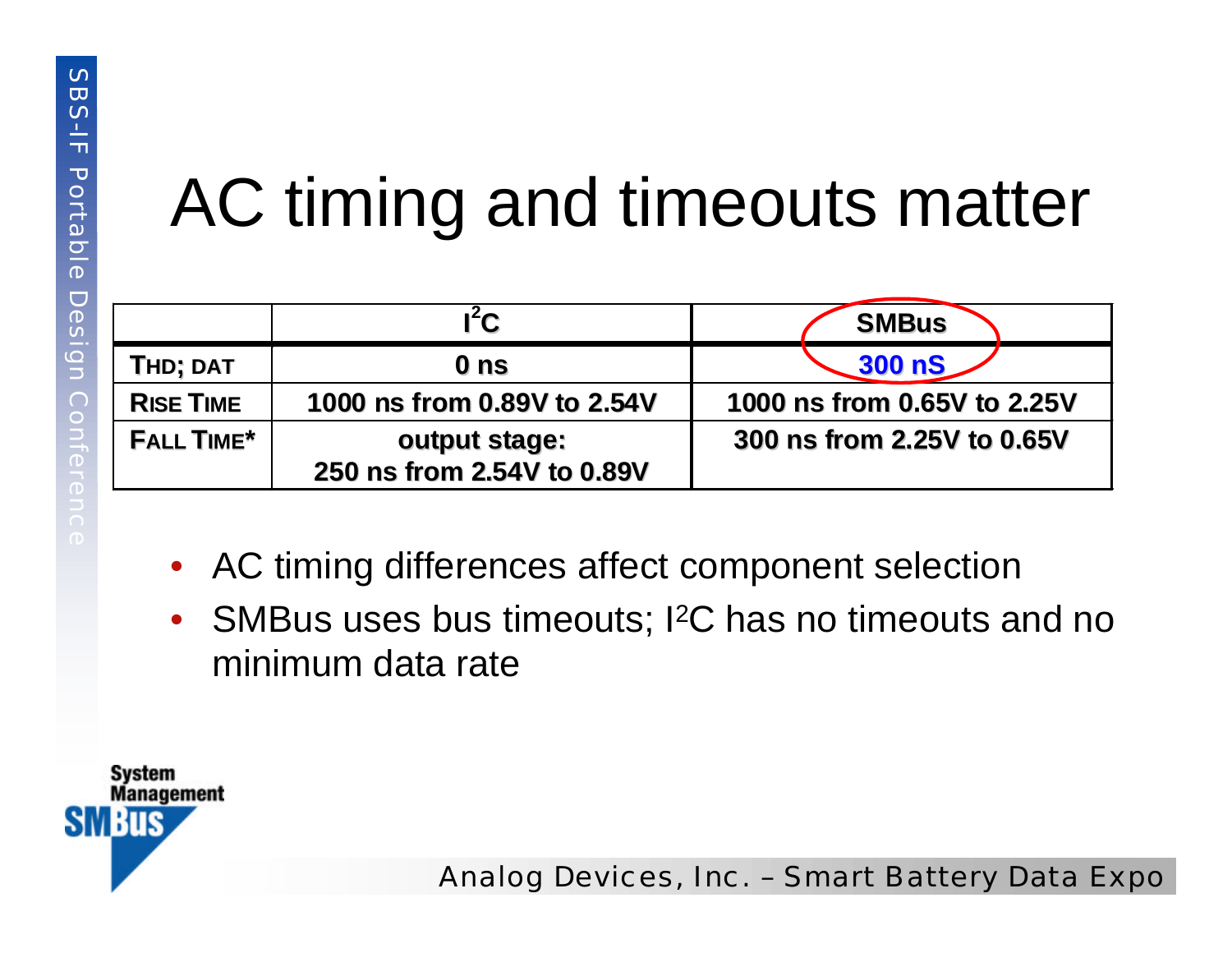### AC timing and timeouts matter

|                   | $l^2C$                                      | <b>SMBus</b>                |
|-------------------|---------------------------------------------|-----------------------------|
| THD; DAT          | 0 ns                                        | 300 <sub>0</sub>            |
| <b>RISE TIME</b>  | 1000 ns from 0.89V to 2.54V                 | 1000 ns from 0.65V to 2.25V |
| <b>FALL TIME*</b> | output stage:<br>250 ns from 2.54V to 0.89V | 300 ns from 2.25V to 0.65V  |

- AC timing differences affect component selection
- SMBus uses bus timeouts; I<sup>2</sup>C has no timeouts and no minimum data rate

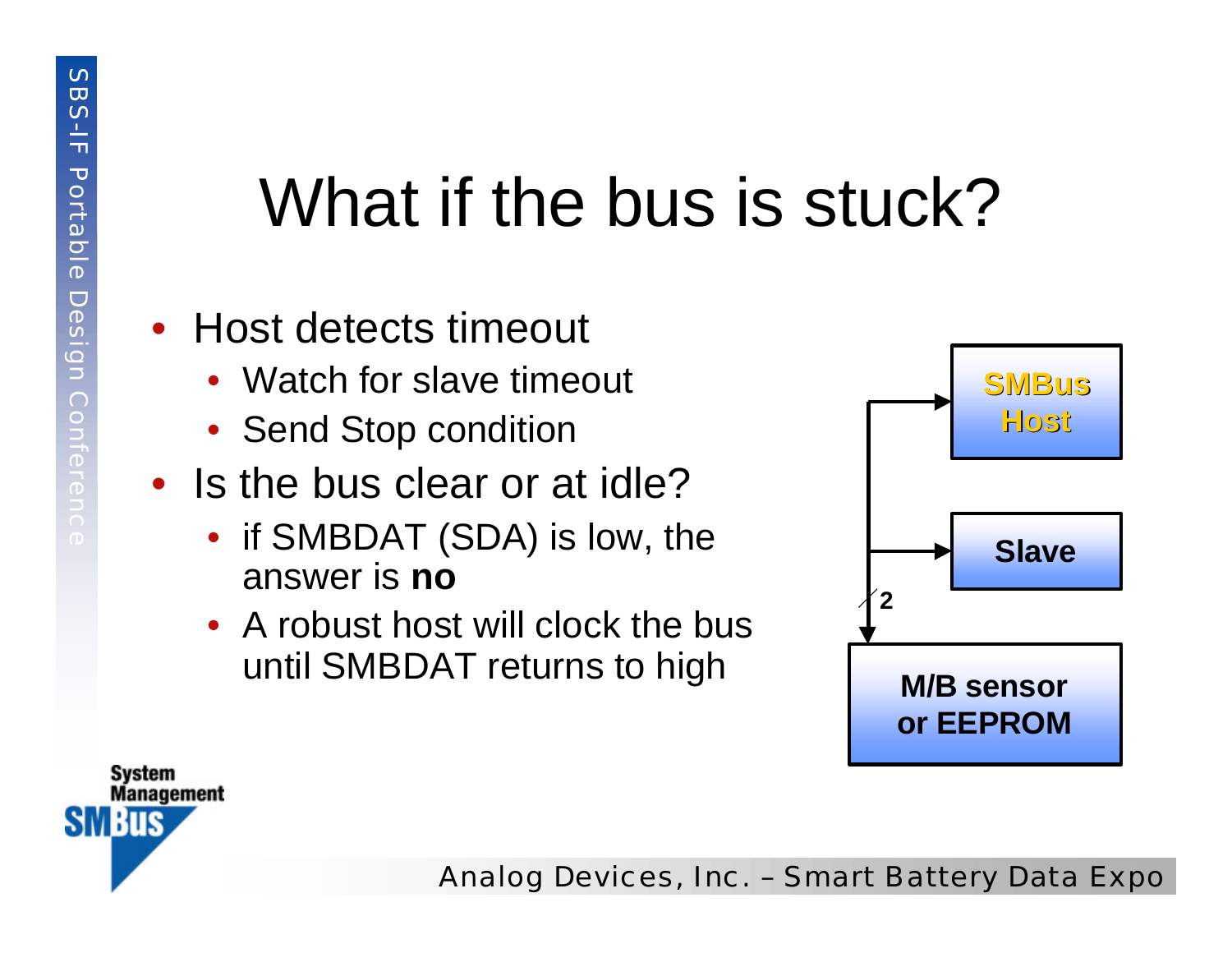## What if the bus is stuck?

#### • Host detects timeout

- Watch for slave timeout
- Send Stop condition
- Is the bus clear or at idle?
	- if SMBDAT (SDA) is low, the answer is **no**
	- A robust host will clock the bus until SMBDAT returns to high





Analog Devices, Inc. – Smart Battery Data Expo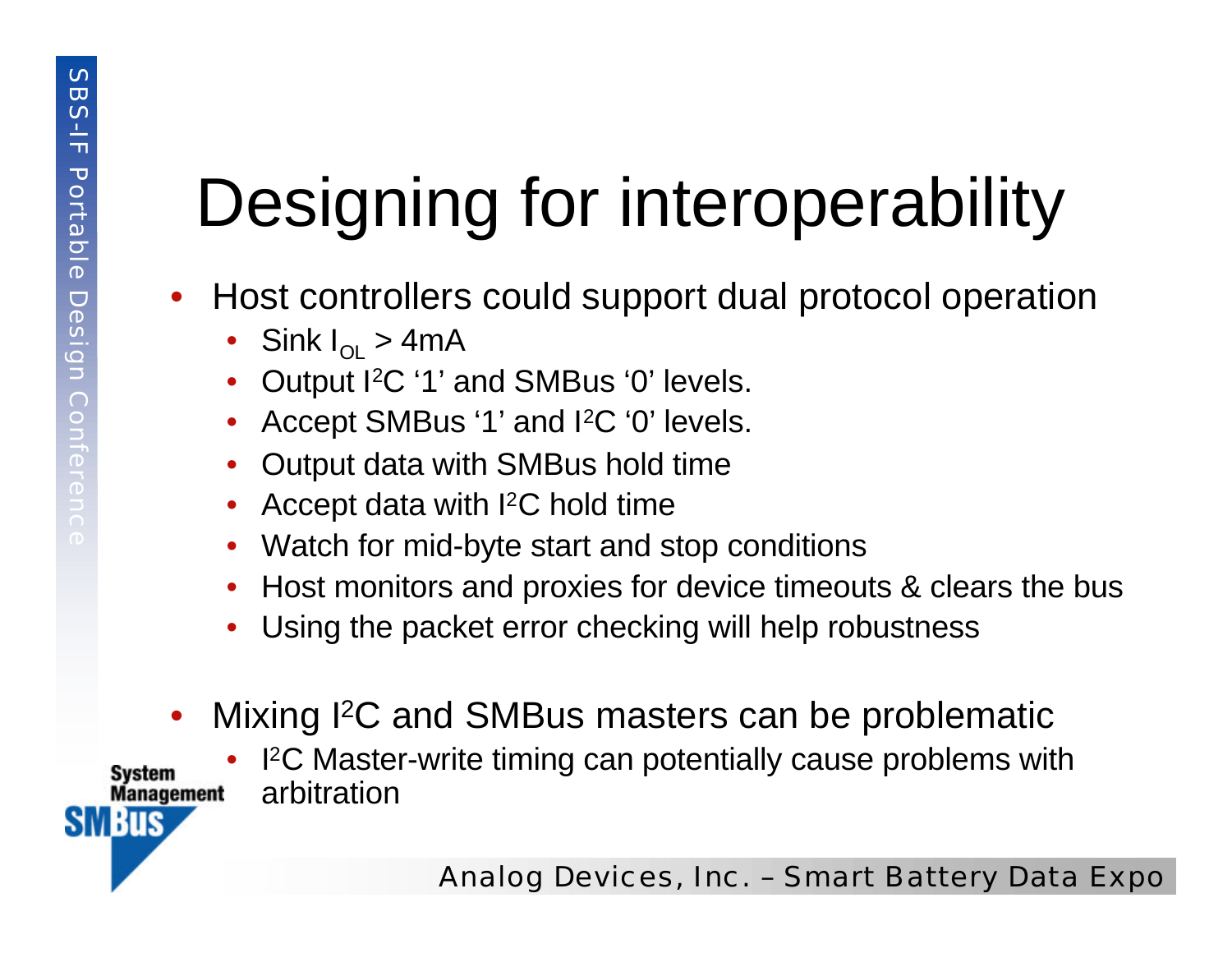# Designing for interoperability

- Host controllers could support dual protocol operation
	- Sink  $I_{\Omega} > 4$ mA
	- Output I2C '1' and SMBus '0' levels.
	- Accept SMBus '1' and I<sup>2</sup>C '0' levels.
	- Output data with SMBus hold time
	- Accept data with I2C hold time
	- Watch for mid-byte start and stop conditions
	- Host monitors and proxies for device timeouts & clears the bus
	- Using the packet error checking will help robustness
- Mixing <sup>2</sup>C and SMBus masters can be problematic

• I <sup>2</sup>C Master-write timing can potentially cause problems with arbitration**Management** 

Svstem

SM BUS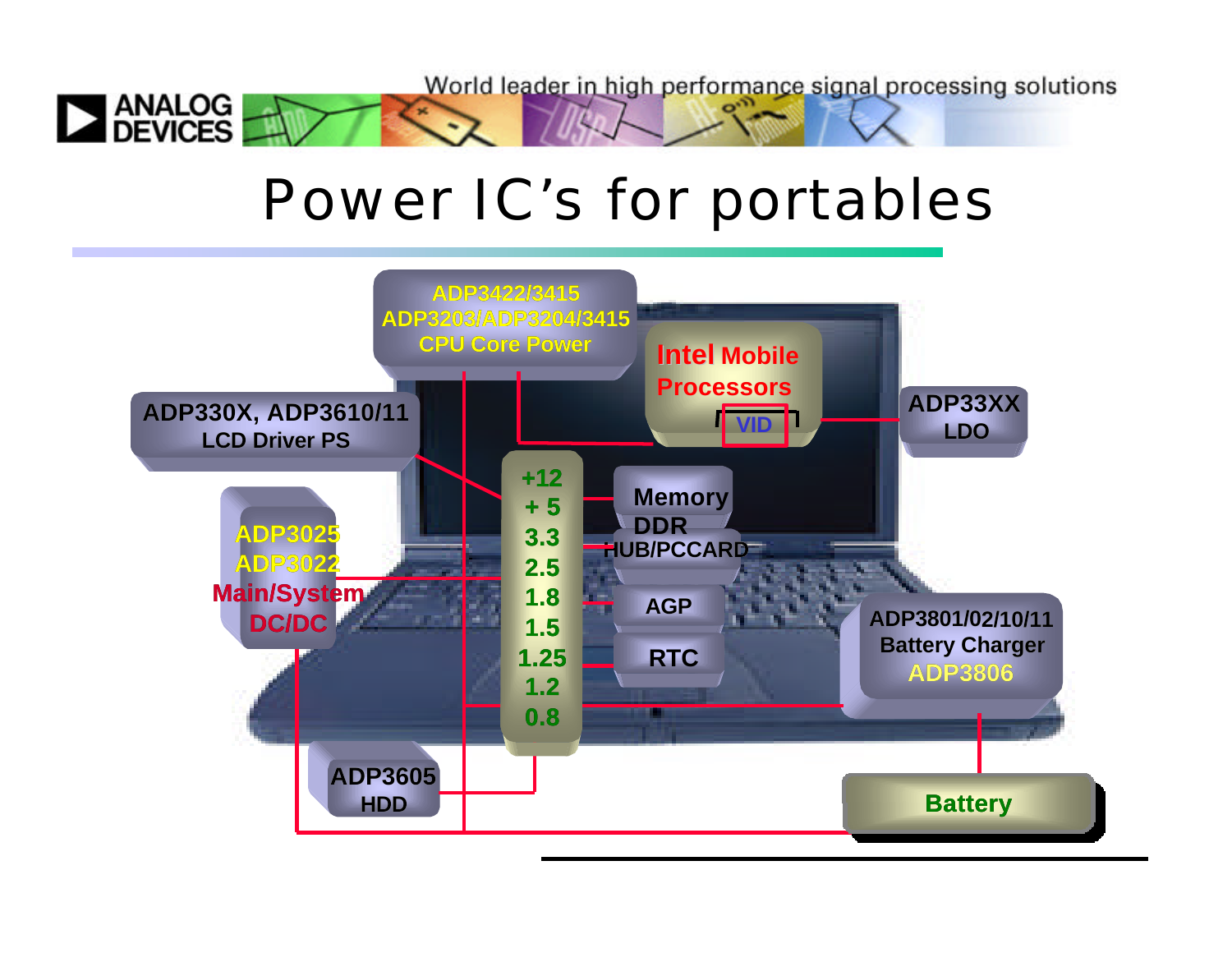World leader in high performance signal processing solutions

#### Power IC's for portables

 $H$ en  $\sim$ 

 $\sim$ 

**EXAMALOG**